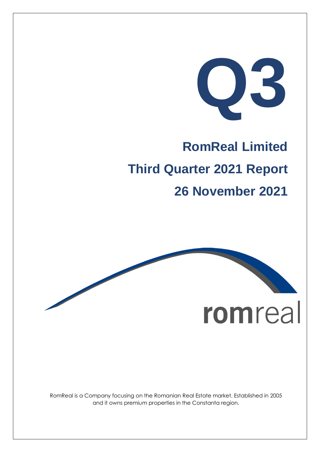**Q3**

# **RomReal Limited Third Quarter 2021 Report 26 November 2021**



RomReal is a Company focusing on the Romanian Real Estate market. Established in 2005 and it owns premium properties in the Constanta region.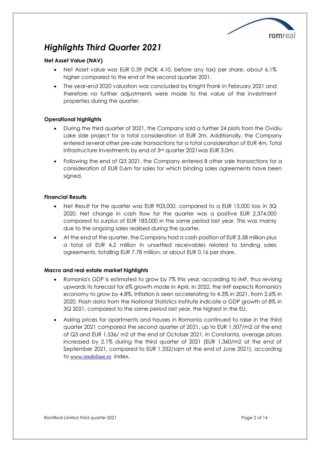

## *Highlights Third Quarter 2021*

#### **Net Asset Value (NAV)**

- Net Asset value was EUR 0.39 (NOK 4.10, before any tax) per share, about 6.1% higher compared to the end of the second quarter 2021.
- The year-end 2020 valuation was concluded by Knight Frank in February 2021 and therefore no further adjustments were made to the value of the investment properties during the quarter.

#### **Operational highlights**

- During the third quarter of 2021, the Company sold a further 24 plots from the Ovidiu Lake side project for a total consideration of EUR 2m. Additionally, the Company entered several other pre-sale transactions for a total consideration of EUR 4m. Total infrastructure investments by end of 3rd quarter 2021was EUR 3.0m.
- Following the end of Q3 2021, the Company entered 8 other sale transactions for a consideration of EUR 0.6m for sales for which binding sales agreements have been signed.

#### **Financial Results**

- Net Result for the quarter was EUR 903,000, compared to a EUR 13,000 loss in 3Q 2020. Net change in cash flow for the quarter was a positive EUR 2,374,000 compared to surplus of EUR 183,000 in the same period last year. This was mainly due to the ongoing sales realised during the quarter.
- At the end of the quarter, the Company had a cash position of EUR 3.58 million plus a total of EUR 4.2 million in unsettled receivables related to binding sales agreements, totalling EUR 7.78 million, or about EUR 0.16 per share.

#### **Macro and real estate market highlights**

- Romania's GDP is estimated to grow by 7% this year, according to IMF, thus revising upwards its forecast for 6% growth made in April. In 2022, the IMF expects Romania's economy to grow by 4.8%. Inflation is seen accelerating to 4.3% in 2021, from 2.6% in 2020. Flash data from the National Statistics Institute indicate a GDP growth of 8% in 3Q 2021, compared to the same period last year, the highest in the EU.
- Asking prices for apartments and houses in Romania continued to raise in the third quarter 2021 compared the second quarter of 2021, up to EUR 1,507/m2 at the end of Q3 and EUR 1,536/ m2 at the end of October 2021. In Constanta, average prices increased by 2.1% during the third quarter of 2021 (EUR 1,360/m2 at the end of September 2021, compared to EUR 1,332/sqm at the end of June 2021), according to [www.imobiliare.ro](http://www.imobiliare.ro/) index.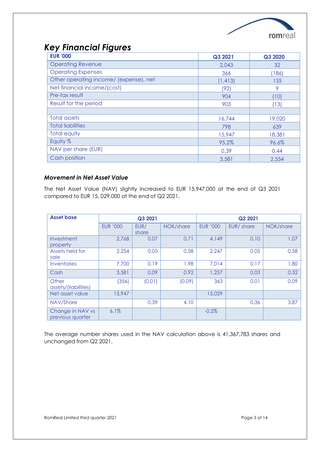

## *Key Financial Figures*

| <b>EUR '000</b>                        | Q3 2021  | Q3 2020 |
|----------------------------------------|----------|---------|
| <b>Operating Revenue</b>               | 2,043    | 32      |
| <b>Operating Expenses</b>              | 366      | (186)   |
| Other operating income/ (expense), net | (1, 413) | 135     |
| Net financial income/(cost)            | (92)     | 9       |
| Pre-tax result                         | 904      | (10)    |
| Result for the period                  | 903      | (13)    |
|                                        |          |         |
| <b>Total assets</b>                    | 16,744   | 19,020  |
| <b>Total liabilities</b>               | 798      | 639     |
| <b>Total equity</b>                    | 15,947   | 18,381  |
| Equity %                               | 95.2%    | 96.6%   |
| NAV per share (EUR)                    | 0.39     | 0.44    |
| Cash position                          | 3,581    | 2,554   |

#### *Movement in Net Asset Value*

The Net Asset Value (NAV) slightly increased to EUR 15,947,000 at the end of Q3 2021 compared to EUR 15, 029,000 at the end of Q2 2021.

| <b>Asset base</b>                    |                 | Q3 2021       |           | Q2 2021         |           |           |
|--------------------------------------|-----------------|---------------|-----------|-----------------|-----------|-----------|
|                                      | <b>EUR '000</b> | EUR/<br>share | NOK/share | <b>EUR '000</b> | EUR/share | NOK/share |
| Investment<br>property               | 2,768           | 0.07          | 0.71      | 4,149           | 0.10      | 1.07      |
| Assets held for<br>sale              | 2,254           | 0.05          | 0.58      | 2,247           | 0.05      | 0.58      |
| Inventories                          | 7,700           | 0.19          | 1.98      | 7,014           | 0.17      | 1.80      |
| Cash                                 | 3,581           | 0.09          | 0.92      | 1,257           | 0.03      | 0.32      |
| Other<br>assets/(liabilities)        | (356)           | (0.01)        | (0.09)    | 363             | 0.01      | 0.09      |
| Net asset value                      | 15,947          |               |           | 15,029          |           |           |
| NAV/Share                            |                 | 0.39          | 4.10      |                 | 0.36      | 3.87      |
| Change in NAV vs<br>previous quarter | 6.1%            |               |           | $-0.2%$         |           |           |

The average number shares used in the NAV calculation above is 41,367,783 shares and unchanged from Q2 2021.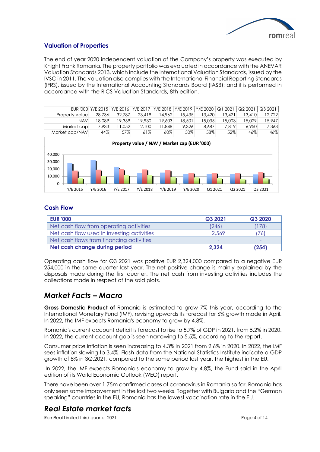

#### **Valuation of Properties**

The end of year 2020 independent valuation of the Company's property was executed by Knight Frank Romania. The property portfolio was evaluated in accordance with the ANEVAR Valuation Standards 2013, which include the International Valuation Standards, issued by the IVSC in 2011. The valuation also complies with the International Financial Reporting Standards (IFRS), issued by the International Accounting Standards Board (IASB); and it is performed in accordance with the RICS Valuation Standards, 8th edition.

|                |        | EUR '000 Y/E 2015 Y/E 2016 Y/E 2017   Y/E 2018   Y/E 2019   Y/E 2020   Q1 2021 |        |        |        |        |        | Q2 2021 | Q32021 |
|----------------|--------|--------------------------------------------------------------------------------|--------|--------|--------|--------|--------|---------|--------|
| Property value | 28,736 | 32,787                                                                         | 23.419 | 14.962 | 15,435 | 13.420 | 13.421 | 13.410  | 12.722 |
| <b>NAV</b>     | 18.089 | 19.369                                                                         | 19.930 | 19,603 | 18,501 | 15.035 | 15,003 | 5.029   | 15,947 |
| Market cap     | 7,933  | 1.052                                                                          | 12,100 | .848   | 9.326  | 8.687  | 7.819  | 6.950   | 7.363  |
| Market cap/NAV | 44%    | 57%                                                                            | 61%    | 60%    | 50%    | 58%    | 52%    | 46%     | 46%    |
|                |        |                                                                                |        |        |        |        |        |         |        |



#### **Cash Flow**

| <b>EUR '000</b>                            | Q3 2021 | Q3 2020                  |
|--------------------------------------------|---------|--------------------------|
| Net cash flow from operating activities    | (246)   | (178)                    |
| Net cash flow used in investing activities | 2,569   | 76)                      |
| Net cash flows from financing activities   | ۰       | $\overline{\phantom{a}}$ |
| Net cash change during period              | 2,324   | (254)                    |

Operating cash flow for Q3 2021 was positive EUR 2,324,000 compared to a negative EUR 254,000 in the same quarter last year. The net positive change is mainly explained by the disposals made during the first quarter. The net cash from investing activities includes the collections made in respect of the sold plots.

## *Market Facts – Macro*

**Gross Domestic Product of** [Romania](https://countryeconomy.com/countries/romania) is estimated to grow 7% this year, according to the International Monetary Fund (IMF), revising upwards its forecast for 6% growth made in April. In 2022, the IMF expects Romania's economy to grow by 4.8%.

Romania's current account deficit is forecast to rise to 5.7% of GDP in 2021, from 5.2% in 2020. In 2022, the current account gap is seen narrowing to 5.5%, according to the report.

Consumer price inflation is seen increasing to 4.3% in 2021 from 2.6% in 2020. In 2022, the IMF sees inflation slowing to 3.4%. Flash data from the National Statistics Institute indicate a GDP growth of 8% in 3Q.2021, compared to the same period last year, the highest in the EU.

In 2022, the IMF expects Romania's economy to grow by 4.8%, the Fund said in the April edition of its World Economic Outlook (WEO) report.

There have been over 1.75m confirmed cases of coronavirus in Romania so far. Romania has only seen some improvement in the last two weeks. Together with Bulgaria and the "German speaking" countries in the EU, Romania has the lowest vaccination rate in the EU.

## *Real Estate market facts*

RomReal Limited third quarter 2021 **Page 4 of 14** Page 4 of 14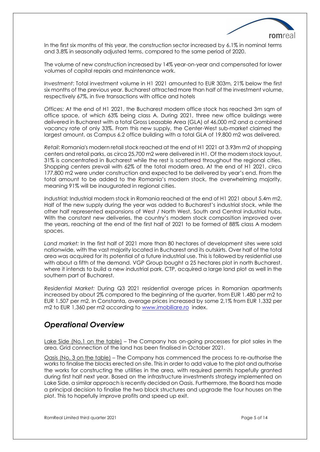

In the first six months of this year, the construction sector increased by 6.1% in nominal terms and 3.8% in seasonally adjusted terms, compared to the same period of 2020.

The volume of new construction increased by 14% year-on-year and compensated for lower volumes of capital repairs and maintenance work.

*Investment*: Total investment volume in H1 2021 amounted to EUR 303m, 21% below the first six months of the previous year. Bucharest attracted more than half of the investment volume, respectively 67%, in five transactions with office and hotels

*Offices:* At the end of H1 2021, the Bucharest modern office stock has reached 3m sqm of office space, of which 63% being class A. During 2021, three new office buildings were delivered in Bucharest with a total Gross Leasable Area (GLA) of 46,000 m2 and a combined vacancy rate of only 33%. From this new supply, the Center-West sub-market claimed the largest amount, as Campus 6.2 office building with a total GLA of 19,800 m2 was delivered.

*Retail*: Romania's modern retail stock reached at the end of H1 2021 at 3.93m m2 of shopping centers and retail parks, as circa 25,700 m2 were delivered in H1. Of the modern stock layout, 31% is concentrated in Bucharest while the rest is scattered throughout the regional cities. Shopping centers prevail with 62% of the total modern area. At the end of H1 2021, circa 177,800 m2 were under construction and expected to be delivered by year's end. From the total amount to be added to the Romania's modern stock, the overwhelming majority, meaning 91% will be inaugurated in regional cities.

*Industrial:* Industrial modern stock in Romania reached at the end of H1 2021 about 5.4m m2. Half of the new supply during the year was added to Bucharest's industrial stock, while the other half represented expansions of West / North West, South and Central industrial hubs. With the constant new deliveries, the country's modern stock composition improved over the years, reaching at the end of the first half of 2021 to be formed of 88% class A modern spaces.

*Land market:* In the first half of 2021 more than 80 hectares of development sites were sold nationwide, with the vast majority located in Bucharest and its outskirts. Over half of the total area was acquired for its potential of a future industrial use. This is followed by residential use with about a fifth of the demand. VGP Group bought a 25 hectares plot in north Bucharest, where it intends to build a new industrial park. CTP, acquired a large land plot as well in the southern part of Bucharest.

*Residential Market:* During Q3 2021 residential average prices in Romanian apartments increased by about 2% compared to the beginning of the quarter, from EUR 1.480 per m2 to EUR 1.507 per m2. In Constanta, average prices increased by some 2,1% from EUR 1,332 per m2 to EUR 1,360 per m2 according to [www.imobiliare.ro](http://www.imobiliare.ro/) index.

## *Operational Overview*

Lake Side (No.1 on the table) – The Company has on-going processes for plot sales in the area. Grid connection of the land has been finalised in October 2021.

Oasis (No. 3 on the table) – The Company has commenced the process to re-authorise the works to finalise the blocks erected on site. This in order to add value to the plot and authorise the works for constructing the utilities in the area, with required permits hopefully granted during first half next year. Based on the infrastructure investments strategy implemented on Lake Side, a similar approach is recently decided on Oasis. Furthermore, the Board has made a principal decision to finalise the two block structures and upgrade the four houses on the plot. This to hopefully improve profits and speed up exit.

RomReal Limited third quarter 2021 **Page 5 of 14** Page 5 of 14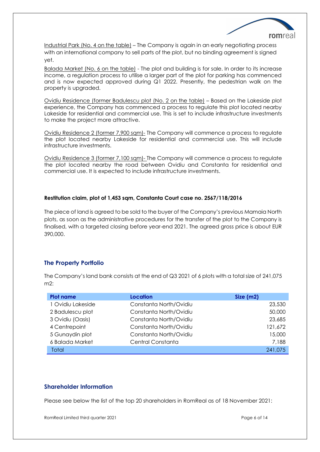

Industrial Park (No. 4 on the table) – The Company is again in an early negotiating process with an international company to sell parts of the plot, but no binding agreement is signed yet.

Balada Market (No. 6 on the table) - The plot and building is for sale. In order to its increase income, a regulation process to utilise a larger part of the plot for parking has commenced and is now expected approved during Q1 2022. Presently, the pedestrian walk on the property is upgraded.

Ovidiu Residence (former Badulescu plot (No. 2 on the table) – Based on the Lakeside plot experience, the Company has commenced a process to regulate this plot located nearby Lakeside for residential and commercial use. This is set to include infrastructure investments to make the project more attractive.

Ovidiu Residence 2 (former 7,900 sqm)- The Company will commence a process to regulate the plot located nearby Lakeside for residential and commercial use. This will include infrastructure investments.

Ovidiu Residence 3 (former 7,100 sqm)- The Company will commence a process to regulate the plot located nearby the road between Ovidiu and Constanta for residential and commercial use. It is expected to include infrastructure investments.

#### **Restitution claim, plot of 1,453 sqm, Constanta Court case no. 2567/118/2016**

The piece of land is agreed to be sold to the buyer of the Company's previous Mamaia North plots, as soon as the administrative procedures for the transfer of the plot to the Company is finalised, with a targeted closing before year-end 2021. The agreed gross price is about EUR 390,000.

#### **The Property Portfolio**

The Company's land bank consists at the end of Q3 2021 of 6 plots with a total size of 241,075 m2:

| <b>Plot name</b>  | <b>Location</b>        | Size(m2) |
|-------------------|------------------------|----------|
| 1 Ovidiu Lakeside | Constanta North/Ovidiu | 23,530   |
| 2 Badulescu plot  | Constanta North/Ovidiu | 50,000   |
| 3 Ovidiu (Oasis)  | Constanta North/Ovidiu | 23,685   |
| 4 Centrepoint     | Constanta North/Ovidiu | 121,672  |
| 5 Gunaydin plot   | Constanta North/Ovidiu | 15,000   |
| 6 Balada Market   | Central Constanta      | 7,188    |
| Total             |                        | 241,075  |

#### **Shareholder Information**

Please see below the list of the top 20 shareholders in RomReal as of 18 November 2021:

RomReal Limited third quarter 2021 **Page 6 of 14** Page 6 of 14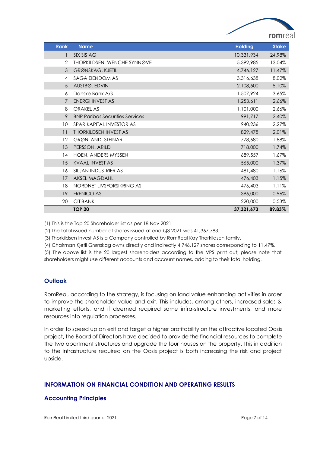|                                               | ∕              | romrea       |
|-----------------------------------------------|----------------|--------------|
| <b>Rank</b><br><b>Name</b>                    | <b>Holding</b> | <b>Stake</b> |
| SIX SIS AG<br>1                               | 10,331,934     | 24.98%       |
| $\overline{2}$<br>THORKILDSEN, WENCHE SYNNØVE | 5,392,985      | 13.04%       |
| 3<br>GRØNSKAG, KJETIL                         | 4,746,127      | 11.47%       |
| SAGA EIENDOM AS<br>4                          | 3,316,638      | 8.02%        |
| 5<br>AUSTBØ, EDVIN                            | 2,108,500      | 5.10%        |
| Danske Bank A/S<br>6                          | 1,507,924      | 3.65%        |
| <b>ENERGI INVEST AS</b><br>$\overline{7}$     | 1,253,611      | 2.66%        |
| <b>ORAKEL AS</b><br>8                         | 1,101,000      | 2.66%        |
| 9<br><b>BNP Paribas Securities Services</b>   | 991,717        | 2.40%        |
| 10<br>SPAR KAPITAL INVESTOR AS                | 940,236        | 2.27%        |
| <b>THORKILDSEN INVEST AS</b><br>11            | 829,478        | 2.01%        |
| 12<br><b>GRØNLAND, STEINAR</b>                | 778,680        | 1.88%        |
| 13<br>PERSSON, ARILD                          | 718,000        | 1.74%        |
| 14<br><b>HOEN, ANDERS MYSSEN</b>              | 689,557        | 1.67%        |
| 15<br><b>KVAAL INVEST AS</b>                  | 565,000        | 1.37%        |
| SILJAN INDUSTRIER AS<br>16                    | 481,480        | 1.16%        |
| <b>AKSEL MAGDAHL</b><br>17                    | 476,403        | 1.15%        |
| NORDNET LIVSFORSIKRING AS<br>18               | 476,403        | 1.11%        |
| <b>FRENICO AS</b><br>19                       | 396,000        | 0.96%        |
| 20<br><b>CITIBANK</b>                         | 220,000        | 0.53%        |
| <b>TOP 20</b>                                 | 37.321.673     | 89.83%       |

(1) This is the Top 20 Shareholder list as per 18 Nov 2021

(2) The total issued number of shares issued at end Q3 2021 was 41,367,783.

(3) Thorkildsen Invest AS is a Company controlled by RomReal Kay Thorkildsen family.

(4) Chairman Kjetil Grønskag owns directly and indirectly 4,746,127 shares corresponding to 11.47%.

(5) The above list is the 20 largest shareholders according to the VPS print out; please note that shareholders might use different accounts and account names, adding to their total holding.

#### **Outlook**

RomReal, according to the strategy, is focusing on land value enhancing activities in order to improve the shareholder value and exit. This includes, among others, increased sales & marketing efforts, and if deemed required some infra-structure investments, and more resources into regulation processes.

In order to speed up an exit and target a higher profitability on the attractive located Oasis project, the Board of Directors have decided to provide the financial resources to complete the two apartment structures and upgrade the four houses on the property. This in addition to the infrastructure required on the Oasis project is both increasing the risk and project upside.

#### **INFORMATION ON FINANCIAL CONDITION AND OPERATING RESULTS**

#### **Accounting Principles**

RomReal Limited third quarter 2021 **Page 7 of 14** Page 7 of 14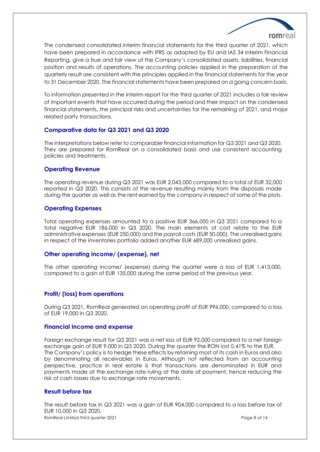

The condensed consolidated interim financial statements for the third quarter of 2021, which have been prepared in accordance with IFRS as adopted by EU and IAS 34 Interim Financial Reporting, give a true and fair view of the Company's consolidated assets, liabilities, financial position and results of operations. The accounting policies applied in the preparation of the quarterly result are consistent with the principles applied in the financial statements for the year to 31 December 2020. The financial statements have been prepared on a going concern basis.

To information presented in the interim report for the third quarter of 2021 includes a fair review of important events that have occurred during the period and their impact on the condensed financial statements, the principal risks and uncertainties for the remaining of 2021, and major related party transactions.

#### **Comparative data for Q3 2021 and Q3 2020**

The interpretations below refer to comparable financial information for Q3 2021 and Q3 2020. They are prepared for RomReal on a consolidated basis and use consistent accounting policies and treatments.

#### **Operating Revenue**

The operating revenue during Q3 2021 was EUR 2,043,000 compared to a total of EUR 32,000 reported in Q3 2020. This consists of the revenue resulting mainly from the disposals made during the quarter as well as the rent earned by the company in respect of some of the plots.

#### **Operating Expenses**

Total operating expenses amounted to a positive EUR 366,000 in Q3 2021 compared to a total negative EUR 186,000 in Q3 2020. The main elements of cost relate to the EUR administrative expenses (EUR 250,000) and the payroll costs (EUR 50,000). The unrealised gains in respect of the inventories portfolio added another EUR 689,000 unrealised gains.

#### **Other operating income/ (expense), net**

The other operating income/ (expense) during the quarter were a loss of EUR 1,413,000, compared to a gain of EUR 135,000 during the same period of the previous year.

#### **Profit/ (loss) from operations**

During Q3 2021, RomReal generated an operating profit of EUR 996,000, compared to a loss of EUR 19,000 in Q3 2020.

#### **Financial Income and expense**

Foreign exchange result for Q3 2021 was a net loss of EUR 92,000 compared to a net foreign exchange gain of EUR 9,000 in Q3 2020. During the quarter the RON lost 0.41% to the EUR. The Company's policy is to hedge these effects by retaining most of its cash in Euros and also by denominating all receivables in Euros. Although not reflected from an accounting perspective, practice in real estate is that transactions are denominated in EUR and payments made at the exchange rate ruling at the date of payment, hence reducing the risk of cash losses due to exchange rate movements.

#### **Result before tax**

RomReal Limited third quarter 2021 **Page 8 of 14** Page 8 of 14 The result before tax in Q3 2021 was a gain of EUR 904,000 compared to a loss before tax of EUR 10,000 in Q3 2020.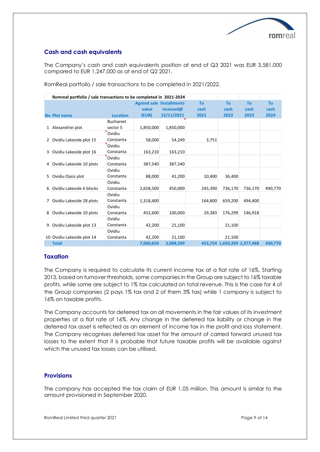

#### **Cash and cash equivalents**

The Company's cash and cash equivalents position at end of Q3 2021 was EUR 3,581,000 compared to EUR 1,247,000 as at end of Q2 2021.

|   | Romreal portfolio / sale transactions to be completed in 2021-2024 |                  |           |                                 |           |                             |           |           |
|---|--------------------------------------------------------------------|------------------|-----------|---------------------------------|-----------|-----------------------------|-----------|-----------|
|   |                                                                    |                  |           | <b>Agreed sale Installments</b> | <b>To</b> | To                          | <b>To</b> | <b>To</b> |
|   |                                                                    |                  | value     | received@                       | cash      | cash                        | cash      | cash      |
|   | <b>No Plot name</b>                                                | <b>Location</b>  | (EUR)     | 12/11/2021                      | 2021      | 2022                        | 2023      | 2024      |
|   |                                                                    | <b>Bucharest</b> |           |                                 |           |                             |           |           |
|   | 1 Alexandriei plot                                                 | sector 5         | 1,850,000 | 1,850,000                       |           |                             |           |           |
|   |                                                                    | Ovidiu           |           |                                 |           |                             |           |           |
|   | 2 Ovidiu Lakeside plot 15                                          | Constanta        | 58,000    | 54,249                          | 3,751     |                             |           |           |
|   |                                                                    | Ovidiu           |           |                                 |           |                             |           |           |
|   | 3 Ovidiu Lakeside plot 16                                          | Constanta        | 163,210   | 163,210                         |           |                             |           |           |
|   |                                                                    | Ovidiu           |           |                                 |           |                             |           |           |
|   | 4 Ovidiu Lakeside 10 plots                                         | Constanta        | 387,540   | 387,540                         |           |                             |           |           |
|   |                                                                    | Ovidiu           |           |                                 |           |                             |           |           |
|   | 5 Ovidiu Oasis plot                                                | Constanta        | 88,000    | 41,200                          | 10,400    | 36,400                      |           |           |
|   |                                                                    | Ovidiu           |           |                                 |           |                             |           |           |
|   | 6 Ovidiu Lakeside 6 blocks                                         | Constanta        | 2,658,500 | 450,000                         | 245,390   | 736,170                     | 736,170   | 490,770   |
|   |                                                                    | Ovidiu           |           |                                 |           |                             |           |           |
|   | 7 Ovidiu Lakeside 28 plots                                         | Constanta        | 1,318,400 |                                 | 164.800   | 659,200                     | 494.400   |           |
|   |                                                                    | Ovidiu           |           |                                 |           |                             |           |           |
| 8 | Ovidiu Lakeside 10 plots                                           | Constanta        | 452,600   | 100,000                         | 29,383    | 176,299                     | 146,918   |           |
|   |                                                                    | Ovidiu           |           |                                 |           |                             |           |           |
| 9 | Ovidiu Lakeside plot 13                                            | Constanta        | 42,200    | 21,100                          |           | 21,100                      |           |           |
|   |                                                                    | Ovidiu           |           |                                 |           |                             |           |           |
|   | 10 Ovidiu Lakeside plot 14                                         | Constanta        | 42.200    | 21,100                          |           | 21.100                      |           |           |
|   | <b>Total</b>                                                       |                  | 7,060,650 | 3,088,399                       |           | 453,724 1,650,269 1,377,488 |           | 490.770   |

RomReal portfolio / sale transactions to be completed in 2021/2022.

#### **Taxation**

The Company is required to calculate its current income tax at a flat rate of 16%. Starting 2013, based on turnover thresholds, some companies in the Group are subject to 16% taxable profits, while some are subject to 1% tax calculated on total revenue. This is the case for 4 of the Group companies (2 pays 1% tax and 2 of them 3% tax) while 1 company is subject to 16% on taxable profits.

The Company accounts for deferred tax on all movements in the fair values of its investment properties at a flat rate of 16%. Any change in the deferred tax liability or change in the deferred tax asset is reflected as an element of income tax in the profit and loss statement. The Company recognises deferred tax asset for the amount of carried forward unused tax losses to the extent that it is probable that future taxable profits will be available against which the unused tax losses can be utilised.

#### **Provisions**

The company has accepted the tax claim of EUR 1.05 million. This amount is similar to the amount provisioned in September 2020.

RomReal Limited third quarter 2021 **Page 9 of 14** Page 9 of 14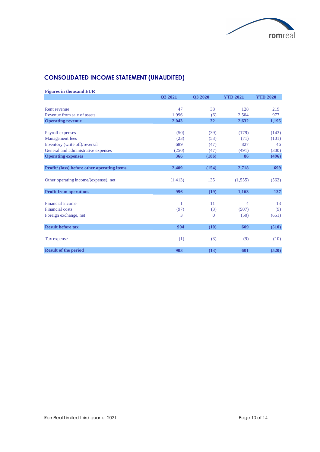

## **CONSOLIDATED INCOME STATEMENT (UNAUDITED)**

**Figures in thousand EUR**

|                                             | Q3 2021  | Q3 2020  | <b>YTD 2021</b> | <b>YTD 2020</b> |
|---------------------------------------------|----------|----------|-----------------|-----------------|
|                                             |          |          |                 |                 |
| Rent revenue                                | 47       | 38       | 128             | 219             |
| Revenue from sale of assets                 | 1.996    | (6)      | 2.504           | 977             |
| <b>Operating revenue</b>                    | 2,043    | 32       | 2,632           | 1,195           |
|                                             |          |          |                 |                 |
| Payroll expenses                            | (50)     | (39)     | (179)           | (143)           |
| Management fees                             | (23)     | (53)     | (71)            | (101)           |
| Inventory (write off)/reversal              | 689      | (47)     | 827             | 46              |
| General and administrative expenses         | (250)    | (47)     | (491)           | (300)           |
| <b>Operating expenses</b>                   | 366      | (186)    | 86              | (496)           |
|                                             |          |          |                 |                 |
| Profit/ (loss) before other operating items | 2,409    | (154)    | 2,718           | 699             |
|                                             |          |          |                 |                 |
| Other operating income/(expense), net       | (1, 413) | 135      | (1,555)         | (562)           |
| <b>Profit from operations</b>               | 996      | (19)     | 1,163           | 137             |
| Financial income                            | 1        | 11       | 4               | 13              |
| Financial costs                             | (97)     | (3)      | (507)           |                 |
|                                             | 3        | $\Omega$ | (50)            | (9)             |
| Foreign exchange, net                       |          |          |                 | (651)           |
| <b>Result before tax</b>                    | 904      | (10)     | 609             | (510)           |
| Tax expense                                 | (1)      | (3)      | (9)             | (10)            |
| <b>Result of the period</b>                 | 903      | (13)     | 601             | (520)           |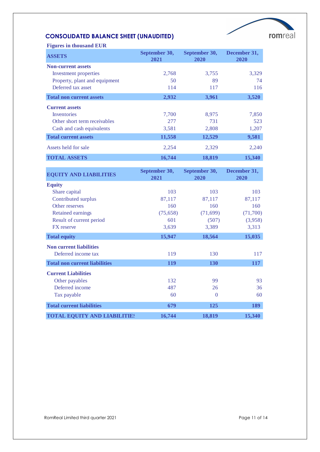# romreal

## **CONSOLIDATED BALANCE SHEET (UNAUDITED)**

| <b>Figures in thousand EUR</b>  |                       |                       |                      |
|---------------------------------|-----------------------|-----------------------|----------------------|
| <b>ASSETS</b>                   | September 30,<br>2021 | September 30,<br>2020 | December 31,<br>2020 |
| <b>Non-current assets</b>       |                       |                       |                      |
| Investment properties           | 2,768                 | 3,755                 | 3,329                |
| Property, plant and equipment   | 50                    | 89                    | 74                   |
| Deferred tax asset              | 114                   | 117                   | 116                  |
| <b>Total non current assets</b> | 2,932                 | 3,961                 | 3,520                |
| <b>Current assets</b>           |                       |                       |                      |
| <b>Inventories</b>              | 7,700                 | 8,975                 | 7,850                |
| Other short term receivables    | 277                   | 731                   | 523                  |
| Cash and cash equivalents       | 3,581                 | 2,808                 | 1,207                |
| <b>Total current assets</b>     | 11,558                | 12,529                | 9,581                |
| Assets held for sale            | 2,254                 | 2,329                 | 2,240                |
| <b>TOTAL ASSETS</b>             | 16,744                | 18,819                | 15,340               |

| <b>EQUITY AND LIABILITIES</b>        | September 30,<br>2021 | September 30,<br>2020 | December 31,<br>2020 |
|--------------------------------------|-----------------------|-----------------------|----------------------|
| <b>Equity</b>                        |                       |                       |                      |
| Share capital                        | 103                   | 103                   | 103                  |
| Contributed surplus                  | 87,117                | 87,117                | 87,117               |
| Other reserves                       | 160                   | 160                   | 160                  |
| <b>Retained earnings</b>             | (75, 658)             | (71, 699)             | (71,700)             |
| Result of current period             | 601                   | (507)                 | (3,958)              |
| <b>FX</b> reserve                    | 3,639                 | 3,389                 | 3,313                |
| <b>Total equity</b>                  | 15,947                | 18,564                | 15,035               |
| <b>Non current liabilities</b>       |                       |                       |                      |
| Deferred income tax                  | 119                   | 130                   | 117                  |
| <b>Total non current liabilities</b> | <b>119</b>            | <b>130</b>            | <b>117</b>           |
| <b>Current Liabilities</b>           |                       |                       |                      |
| Other payables                       | 132                   | 99                    | 93                   |
| Deferred income                      | 487                   | 26                    | 36                   |
| Tax payable                          | 60                    | $\Omega$              | 60                   |
| <b>Total current liabilities</b>     | 679                   | 125                   | 189                  |
| <b>TOTAL EQUITY AND LIABILITIES</b>  | 16,744                | 18,819                | 15,340               |

RomReal Limited third quarter 2021 and the state of 14 and 2021 and 2021 and 2021 and 2021 and 2021 and 2021 and 2021 and 2021 and 2021 and 2021 and 2021 and 2021 and 2021 and 2021 and 2021 and 2021 and 2021 and 2021 and 2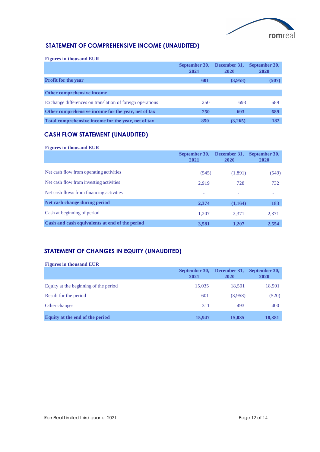

### **STATEMENT OF COMPREHENSIVE INCOME (UNAUDITED)**

**Figures in thousand EUR**

|                                                           | September 30,<br>2021 | December 31.<br>2020 | September 30,<br><b>2020</b> |
|-----------------------------------------------------------|-----------------------|----------------------|------------------------------|
| <b>Profit for the year</b>                                | 601                   | (3,958)              | (507)                        |
| Other comprehensive income                                |                       |                      |                              |
| Exchange differences on translation of foreign operations | 250                   | 693                  | 689                          |
| Other comprehensive income for the year, net of tax       | <b>250</b>            | 693                  | 689                          |
| Total comprehensive income for the year, net of tax       | 850                   | (3,265)              | 182                          |

## **CASH FLOW STATEMENT (UNAUDITED)**

**Figures in thousand EUR**

|                                                | September 30,<br>2021    | December 31,<br>2020     | September 30,<br>2020 |
|------------------------------------------------|--------------------------|--------------------------|-----------------------|
| Net cash flow from operating activities        | (545)                    | (1,891)                  | (549)                 |
| Net cash flow from investing activities        | 2.919                    | 728                      | 732                   |
| Net cash flows from financing activities       | $\overline{\phantom{a}}$ | $\overline{\phantom{a}}$ |                       |
| Net cash change during period                  | 2,374                    | (1,164)                  | 183                   |
| Cash at beginning of period                    | 1,207                    | 2.371                    | 2,371                 |
| Cash and cash equivalents at end of the period | 3,581                    | 1,207                    | 2,554                 |

### **STATEMENT OF CHANGES IN EQUITY (UNAUDITED)**

| <b>Figures in thousand EUR</b>        |                       |                             |                       |
|---------------------------------------|-----------------------|-----------------------------|-----------------------|
|                                       | September 30,<br>2021 | December 31,<br><b>2020</b> | September 30,<br>2020 |
| Equity at the beginning of the period | 15,035                | 18.501                      | 18,501                |
| Result for the period                 | 601                   | (3,958)                     | (520)                 |
| Other changes                         | 311                   | 493                         | 400                   |
| Equity at the end of the period       | 15,947                | 15,035                      | 18,381                |

RomReal Limited third quarter 2021 and the state of the Page 12 of 14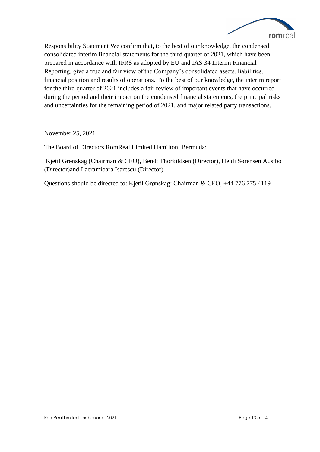

Responsibility Statement We confirm that, to the best of our knowledge, the condensed consolidated interim financial statements for the third quarter of 2021, which have been prepared in accordance with IFRS as adopted by EU and IAS 34 Interim Financial Reporting, give a true and fair view of the Company's consolidated assets, liabilities, financial position and results of operations. To the best of our knowledge, the interim report for the third quarter of 2021 includes a fair review of important events that have occurred during the period and their impact on the condensed financial statements, the principal risks and uncertainties for the remaining period of 2021, and major related party transactions.

November 25, 2021

The Board of Directors RomReal Limited Hamilton, Bermuda:

Kjetil Grønskag (Chairman & CEO), Bendt Thorkildsen (Director), Heidi Sørensen Austbø (Director)and Lacramioara Isarescu (Director)

Questions should be directed to: Kjetil Grønskag: Chairman & CEO, +44 776 775 4119